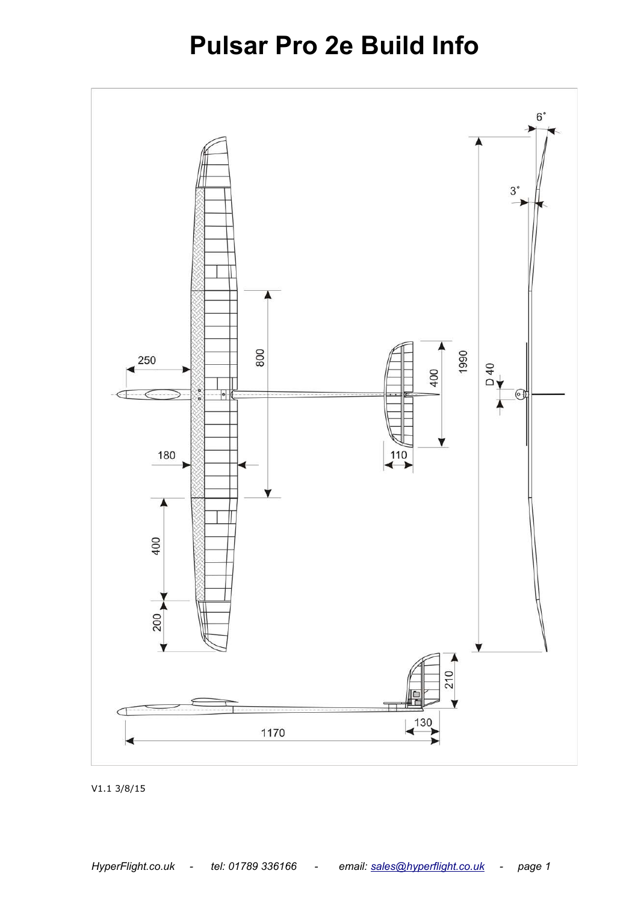# **Pulsar Pro 2e Build Info**



V1.1 3/8/15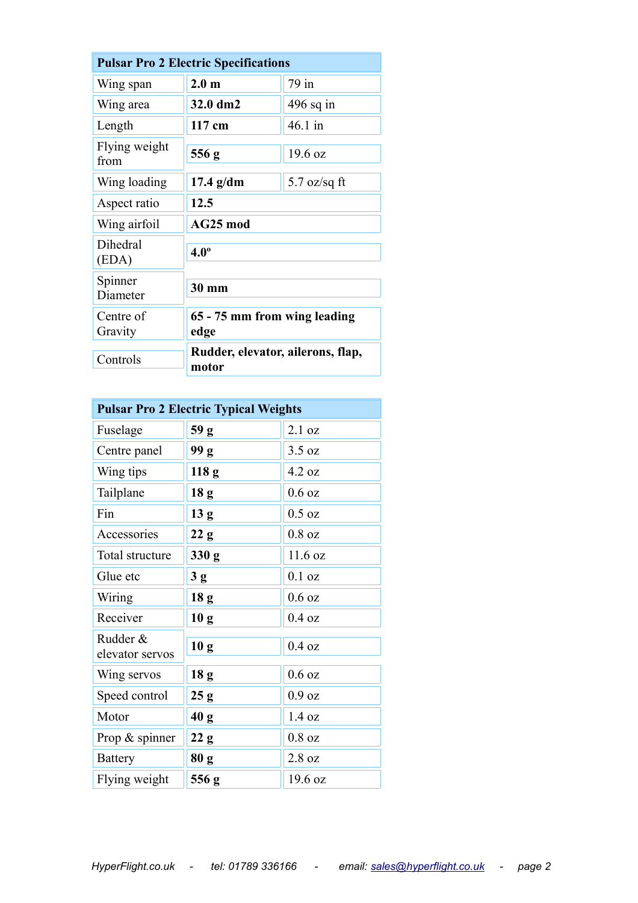| <b>Pulsar Pro 2 Electric Specifications</b> |                                            |              |  |
|---------------------------------------------|--------------------------------------------|--------------|--|
| Wing span                                   | 2.0 <sub>m</sub>                           | 79 in        |  |
| Wing area                                   | 32.0 dm2                                   | $496$ sq in  |  |
| Length                                      | 117 cm                                     | 46.1 in      |  |
| Flying weight<br>from                       | 556g                                       | 19.6 oz      |  |
| Wing loading                                | $17.4$ g/dm                                | 5.7 oz/sq ft |  |
| Aspect ratio                                | 12.5                                       |              |  |
| Wing airfoil                                | AG25 mod                                   |              |  |
| Dihedral<br>(EDA)                           | $4.0^\circ$                                |              |  |
| Spinner<br>Diameter                         | <b>30 mm</b>                               |              |  |
| Centre of<br>Gravity                        | 65 - 75 mm from wing leading<br>edge       |              |  |
| Controls                                    | Rudder, elevator, ailerons, flap,<br>motor |              |  |

| <b>Pulsar Pro 2 Electric Typical Weights</b> |                  |          |
|----------------------------------------------|------------------|----------|
| Fuselage                                     | 59 g             | 2.1 oz   |
| Centre panel                                 | 99 g             | 3.5 oz   |
| Wing tips                                    | 118 g            | 4.2 oz   |
| Tailplane                                    | 18 <sub>g</sub>  | $0.6$ oz |
| Fin                                          | 13 <sub>g</sub>  | $0.5$ oz |
| Accessories                                  | 22 g             | $0.8$ oz |
| Total structure                              | 330 <sub>g</sub> | 11.6 oz  |
| Glue etc                                     | 3g               | $0.1$ oz |
| Wiring                                       | 18 <sub>g</sub>  | $0.6$ oz |
| Receiver                                     | 10 <sub>g</sub>  | $0.4$ oz |
| Rudder &<br>elevator servos                  | 10 <sub>g</sub>  | $0.4$ oz |
| Wing servos                                  | 18 g             | $0.6$ oz |
| Speed control                                | 25g              | $0.9$ oz |
| Motor                                        | 40 g             | 1.4 oz   |
| Prop $&$ spinner                             | 22 g             | $0.8$ oz |
| <b>Battery</b>                               | 80 g             | 2.8 oz   |
| Flying weight                                | 556 g            | 19.6 oz  |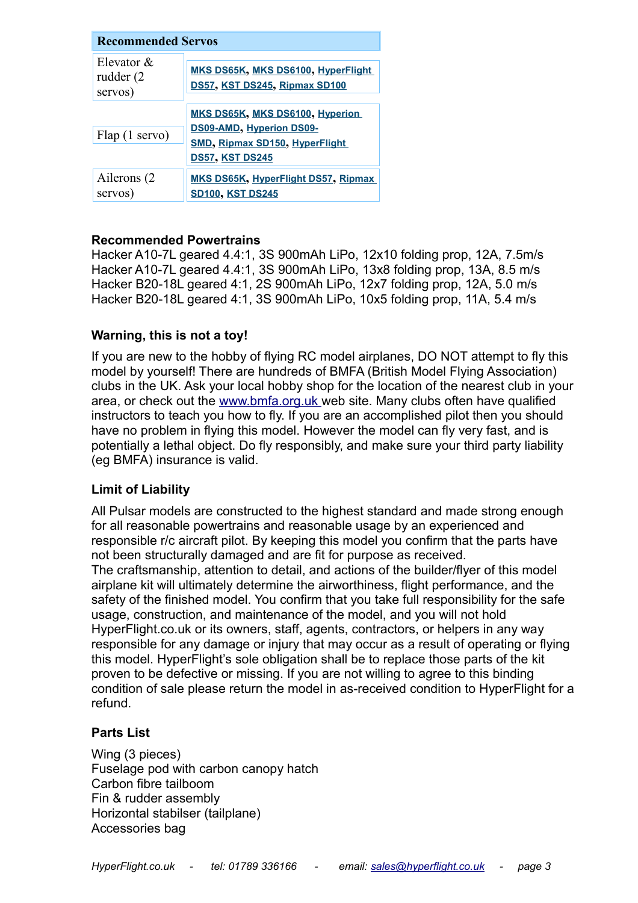| <b>Recommended Servos</b>             |                                                                                                                                |  |
|---------------------------------------|--------------------------------------------------------------------------------------------------------------------------------|--|
| Elevator $\&$<br>rudder (2<br>servos) | <b>MKS DS65K, MKS DS6100, HyperFlight</b><br>DS57, KST DS245, Ripmax SD100                                                     |  |
| $Flag(1$ servo)                       | <b>MKS DS65K, MKS DS6100, Hyperion</b><br>DS09-AMD, Hyperion DS09-<br>SMD, Ripmax SD150, HyperFlight<br><b>DS57, KST DS245</b> |  |
| Ailerons (2)<br>servos)               | <b>MKS DS65K, HyperFlight DS57, Ripmax</b><br><b>SD100, KST DS245</b>                                                          |  |

## **Recommended Powertrains**

Hacker A10-7L geared 4.4:1, 3S 900mAh LiPo, 12x10 folding prop, 12A, 7.5m/s Hacker A10-7L geared 4.4:1, 3S 900mAh LiPo, 13x8 folding prop, 13A, 8.5 m/s Hacker B20-18L geared 4:1, 2S 900mAh LiPo, 12x7 folding prop, 12A, 5.0 m/s Hacker B20-18L geared 4:1, 3S 900mAh LiPo, 10x5 folding prop, 11A, 5.4 m/s

#### **Warning, this is not a toy!**

If you are new to the hobby of flying RC model airplanes, DO NOT attempt to fly this model by yourself! There are hundreds of BMFA (British Model Flying Association) clubs in the UK. Ask your local hobby shop for the location of the nearest club in your area, or check out the [www.bmfa.org.uk](http://www.bmfa.org.uk/) web site. Many clubs often have qualified instructors to teach you how to fly. If you are an accomplished pilot then you should have no problem in flying this model. However the model can fly very fast, and is potentially a lethal object. Do fly responsibly, and make sure your third party liability (eg BMFA) insurance is valid.

# **Limit of Liability**

All Pulsar models are constructed to the highest standard and made strong enough for all reasonable powertrains and reasonable usage by an experienced and responsible r/c aircraft pilot. By keeping this model you confirm that the parts have not been structurally damaged and are fit for purpose as received.

The craftsmanship, attention to detail, and actions of the builder/flyer of this model airplane kit will ultimately determine the airworthiness, flight performance, and the safety of the finished model. You confirm that you take full responsibility for the safe usage, construction, and maintenance of the model, and you will not hold HyperFlight.co.uk or its owners, staff, agents, contractors, or helpers in any way responsible for any damage or injury that may occur as a result of operating or flying this model. HyperFlight's sole obligation shall be to replace those parts of the kit proven to be defective or missing. If you are not willing to agree to this binding condition of sale please return the model in as-received condition to HyperFlight for a refund.

#### **Parts List**

Wing (3 pieces) Fuselage pod with carbon canopy hatch Carbon fibre tailboom Fin & rudder assembly Horizontal stabilser (tailplane) Accessories bag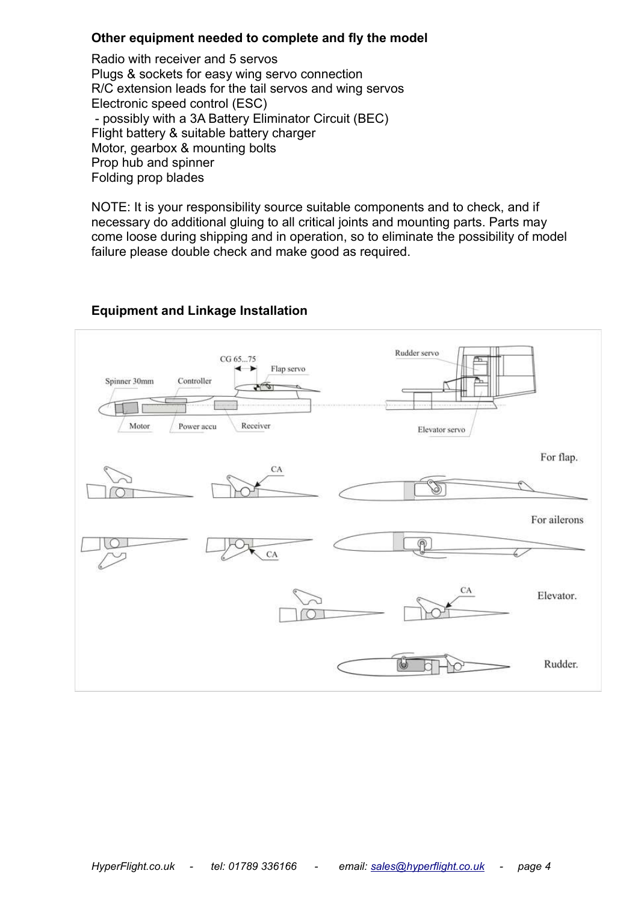### **Other equipment needed to complete and fly the model**

Radio with receiver and 5 servos Plugs & sockets for easy wing servo connection R/C extension leads for the tail servos and wing servos Electronic speed control (ESC) - possibly with a 3A Battery Eliminator Circuit (BEC) Flight battery & suitable battery charger Motor, gearbox & mounting bolts Prop hub and spinner Folding prop blades

NOTE: It is your responsibility source suitable components and to check, and if necessary do additional gluing to all critical joints and mounting parts. Parts may come loose during shipping and in operation, so to eliminate the possibility of model failure please double check and make good as required.



# **Equipment and Linkage Installation**